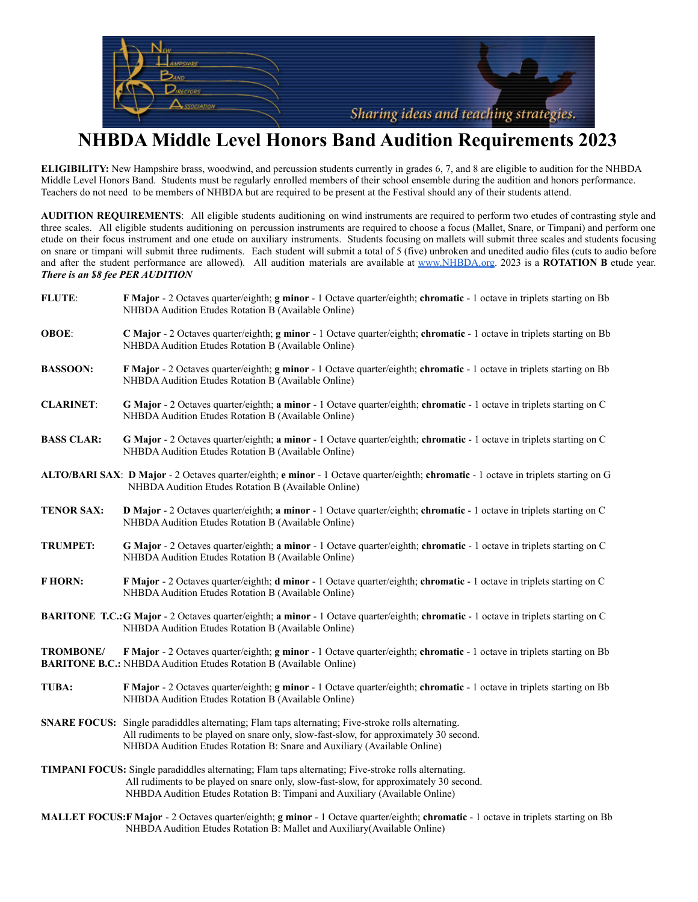

## **NHBDA Middle Level Honors Band Audition Requirements 2023**

**ELIGIBILITY:** New Hampshire brass, woodwind, and percussion students currently in grades 6, 7, and 8 are eligible to audition for the NHBDA Middle Level Honors Band. Students must be regularly enrolled members of their school ensemble during the audition and honors performance. Teachers do not need to be members of NHBDA but are required to be present at the Festival should any of their students attend.

**AUDITION REQUIREMENTS**: All eligible students auditioning on wind instruments are required to perform two etudes of contrasting style and three scales. All eligible students auditioning on percussion instruments are required to choose a focus (Mallet, Snare, or Timpani) and perform one etude on their focus instrument and one etude on auxiliary instruments. Students focusing on mallets will submit three scales and students focusing on snare or timpani will submit three rudiments. Each student will submit a total of 5 (five) unbroken and unedited audio files (cuts to audio before and after the student performance are allowed). All audition materials are available at [www.NHBDA.org](http://www.nhbda.org). 2023 is a **ROTATION B** etude year. *There is an \$8 fee PER AUDITION*

| FLUTE:                                                                                                                                                                                                           | F Major - 2 Octaves quarter/eighth; <b>g</b> minor - 1 Octave quarter/eighth; <b>chromatic</b> - 1 octave in triplets starting on Bb<br>NHBDA Audition Etudes Rotation B (Available Online)                                                                                     |
|------------------------------------------------------------------------------------------------------------------------------------------------------------------------------------------------------------------|---------------------------------------------------------------------------------------------------------------------------------------------------------------------------------------------------------------------------------------------------------------------------------|
| <b>OBOE:</b>                                                                                                                                                                                                     | C Major - 2 Octaves quarter/eighth; <b>g minor</b> - 1 Octave quarter/eighth; <b>chromatic</b> - 1 octave in triplets starting on Bb<br>NHBDA Audition Etudes Rotation B (Available Online)                                                                                     |
| <b>BASSOON:</b>                                                                                                                                                                                                  | F Major - 2 Octaves quarter/eighth; <b>g</b> minor - 1 Octave quarter/eighth; chromatic - 1 octave in triplets starting on Bb<br>NHBDA Audition Etudes Rotation B (Available Online)                                                                                            |
| <b>CLARINET:</b>                                                                                                                                                                                                 | G Major - 2 Octaves quarter/eighth; a minor - 1 Octave quarter/eighth; chromatic - 1 octave in triplets starting on C<br>NHBDA Audition Etudes Rotation B (Available Online)                                                                                                    |
| <b>BASS CLAR:</b>                                                                                                                                                                                                | <b>G Major</b> - 2 Octaves quarter/eighth; <b>a minor</b> - 1 Octave quarter/eighth; <b>chromatic</b> - 1 octave in triplets starting on C<br>NHBDA Audition Etudes Rotation B (Available Online)                                                                               |
|                                                                                                                                                                                                                  | ALTO/BARI SAX: D Major - 2 Octaves quarter/eighth; e minor - 1 Octave quarter/eighth; chromatic - 1 octave in triplets starting on G<br>NHBDA Audition Etudes Rotation B (Available Online)                                                                                     |
| <b>TENOR SAX:</b>                                                                                                                                                                                                | D Major - 2 Octaves quarter/eighth; a minor - 1 Octave quarter/eighth; chromatic - 1 octave in triplets starting on C<br>NHBDA Audition Etudes Rotation B (Available Online)                                                                                                    |
| <b>TRUMPET:</b>                                                                                                                                                                                                  | G Major - 2 Octaves quarter/eighth; a minor - 1 Octave quarter/eighth; chromatic - 1 octave in triplets starting on C<br>NHBDA Audition Etudes Rotation B (Available Online)                                                                                                    |
| <b>FHORN:</b>                                                                                                                                                                                                    | F Major - 2 Octaves quarter/eighth; <b>d minor</b> - 1 Octave quarter/eighth; <b>chromatic</b> - 1 octave in triplets starting on C<br>NHBDA Audition Etudes Rotation B (Available Online)                                                                                      |
| <b>BARITONE T.C.: G Major - 2</b> Octaves quarter/eighth; <b>a minor - 1</b> Octave quarter/eighth; <b>chromatic - 1</b> octave in triplets starting on C<br>NHBDA Audition Etudes Rotation B (Available Online) |                                                                                                                                                                                                                                                                                 |
| <b>TROMBONE/</b>                                                                                                                                                                                                 | F Major - 2 Octaves quarter/eighth; <b>g</b> minor - 1 Octave quarter/eighth; <b>chromatic</b> - 1 octave in triplets starting on Bb<br><b>BARITONE B.C.:</b> NHBDA Audition Etudes Rotation B (Available Online)                                                               |
| TUBA:                                                                                                                                                                                                            | F Major - 2 Octaves quarter/eighth; g minor - 1 Octave quarter/eighth; chromatic - 1 octave in triplets starting on Bb<br>NHBDA Audition Etudes Rotation B (Available Online)                                                                                                   |
|                                                                                                                                                                                                                  | <b>SNARE FOCUS:</b> Single paradiddles alternating; Flam taps alternating; Five-stroke rolls alternating.<br>All rudiments to be played on snare only, slow-fast-slow, for approximately 30 second.<br>NHBDA Audition Etudes Rotation B: Snare and Auxiliary (Available Online) |

**TIMPANI FOCUS:** Single paradiddles alternating; Flam taps alternating; Five-stroke rolls alternating. All rudiments to be played on snare only, slow-fast-slow, for approximately 30 second. NHBDA Audition Etudes Rotation B: Timpani and Auxiliary (Available Online)

**MALLET FOCUS:F Major** - 2 Octaves quarter/eighth; **g minor** - 1 Octave quarter/eighth; **chromatic** - 1 octave in triplets starting on Bb NHBDA Audition Etudes Rotation B: Mallet and Auxiliary(Available Online)